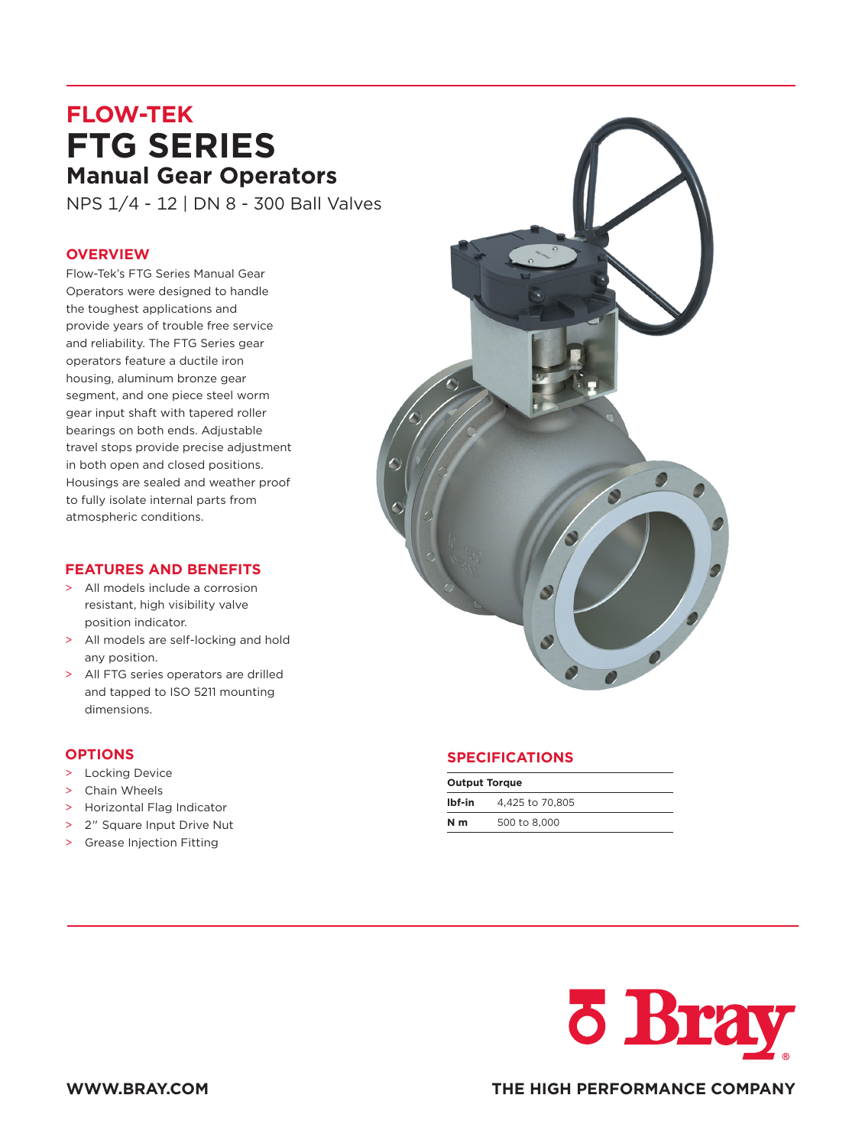## **FLOW-TEK FTG SERIES Manual Gear Operators**

NPS 1/4 - 12 | DN 8 - 300 Ball Valves

## **OVERVIEW**

Flow-Tek's FTG Series Manual Gear Operators were designed to handle the toughest applications and provide years of trouble free service and reliability. The FTG Series gear operators feature a ductile iron housing, aluminum bronze gear segment, and one piece steel worm gear input shaft with tapered roller bearings on both ends. Adjustable travel stops provide precise adjustment in both open and closed positions. Housings are sealed and weather proof to fully isolate internal parts from atmospheric conditions.

## **FEATURES AND BENEFITS**

- > All models include a corrosion resistant, high visibility valve position indicator.
- > All models are self-locking and hold any position.
- > All FTG series operators are drilled and tapped to ISO 5211 mounting dimensions.

## **OPTIONS**

- > Locking Device
- > Chain Wheels
- > Horizontal Flag Indicator
- > 2" Square Input Drive Nut
- > Grease Injection Fitting



| <b>Output Torque</b> |                 |  |  |  |  |  |  |  |  |  |
|----------------------|-----------------|--|--|--|--|--|--|--|--|--|
| Ibf-in               | 4.425 to 70.805 |  |  |  |  |  |  |  |  |  |
| N <sub>m</sub>       | 500 to 8,000    |  |  |  |  |  |  |  |  |  |